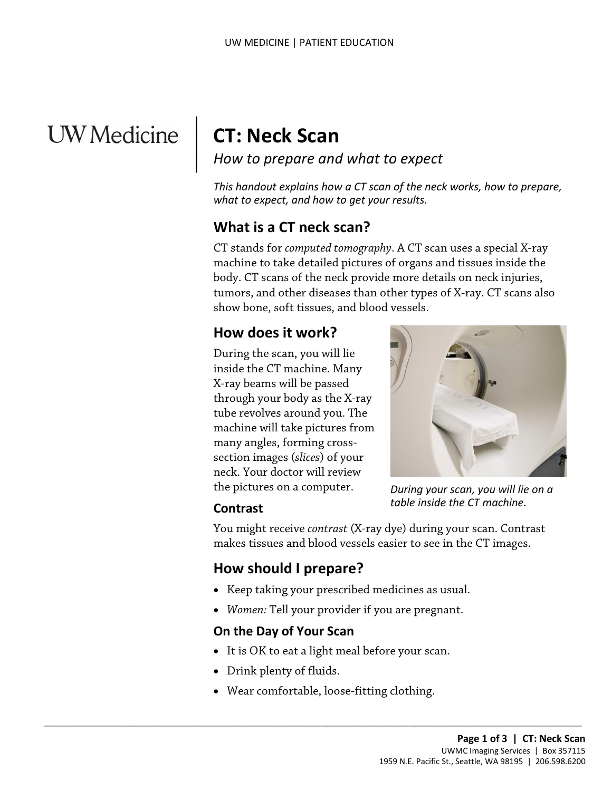# UW Medicine

# **CT: Neck Scan**

 $\parallel$  $\vert$  $\vert$ 

*How to prepare and what to expect*

*This handout explains how a CT scan of the neck works, how to prepare, what to expect, and how to get your results.*

# **What is a CT neck scan?**

body. CT scans of the neck provide more details on neck injuries<br>tumors, and other diseases than other types of X-ray. CT scans a<br>show bone, soft tissues, and blood vessels.<br>**How does it work?**<br>During the scan, you will li CT stands for *computed tomography*. A CT scan uses a special X-ray machine to take detailed pictures of organs and tissues inside the body. CT scans of the neck provide more details on neck injuries, tumors, and other diseases than other types of X-ray. CT scans also show bone, soft tissues, and blood vessels.

#### **How does it work?**

During the scan, you will lie inside the CT machine. Many X-ray beams will be passed through your body as the X-ray tube revolves around you. The machine will take pictures from many angles, forming crosssection images (*slices*) of your neck. Your doctor will review the pictures on a computer.



*During your scan, you will lie on a table inside the CT machine.*

#### **Contrast**

You might receive *contrast* (X-ray dye) during your scan. Contrast makes tissues and blood vessels easier to see in the CT images.

#### **How should I prepare?**

- Keep taking your prescribed medicines as usual.
- *Women:* Tell your provider if you are pregnant.

#### **On the Day of Your Scan**

- It is OK to eat a light meal before your scan.
- Drink plenty of fluids.
- Wear comfortable, loose-fitting clothing.

 $\_$  ,  $\_$  ,  $\_$  ,  $\_$  ,  $\_$  ,  $\_$  ,  $\_$  ,  $\_$  ,  $\_$  ,  $\_$  ,  $\_$  ,  $\_$  ,  $\_$  ,  $\_$  ,  $\_$  ,  $\_$  ,  $\_$  ,  $\_$  ,  $\_$  ,  $\_$  ,  $\_$  ,  $\_$  ,  $\_$  ,  $\_$  ,  $\_$  ,  $\_$  ,  $\_$  ,  $\_$  ,  $\_$  ,  $\_$  ,  $\_$  ,  $\_$  ,  $\_$  ,  $\_$  ,  $\_$  ,  $\_$  ,  $\_$  ,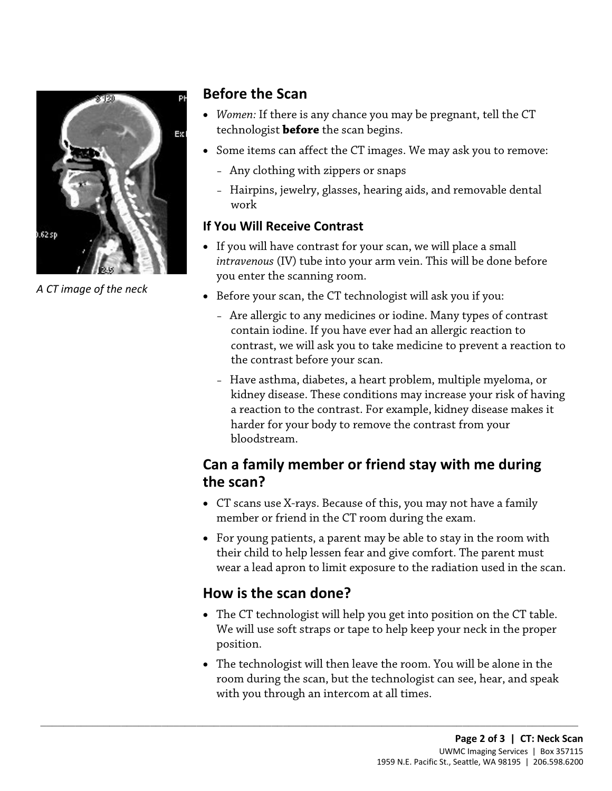

*A CT image of the neck*

#### **Before the Scan**

- *Women:* If there is any chance you may be pregnant, tell the CT technologist **before** the scan begins.
- Some items can affect the CT images. We may ask you to remove:
	- Any clothing with zippers or snaps
	- Hairpins, jewelry, glasses, hearing aids, and removable dental work

#### **If You Will Receive Contrast**

- If you will have contrast for your scan, we will place a small *intravenous* (IV) tube into your arm vein. This will be done before you enter the scanning room.
- Before your scan, the CT technologist will ask you if you:
- Before your scan, the CT technologist will ask you if you:<br>• Are allergic to any medicines or iodine. Many types of contrast<br>contain iodine. If you have ever had an allergic reaction to<br>contrast, we will ask you to take – Are allergic to any medicines or iodine. Many types of contrast contain iodine. If you have ever had an allergic reaction to contrast, we will ask you to take medicine to prevent a reaction to the contrast before your scan.
	- Have asthma, diabetes, a heart problem, multiple myeloma, or kidney disease. These conditions may increase your risk of having a reaction to the contrast. For example, kidney disease makes it harder for your body to remove the contrast from your bloodstream.

# **Can a family member or friend stay with me during the scan?**

- CT scans use X-rays. Because of this, you may not have a family member or friend in the CT room during the exam.
- For young patients, a parent may be able to stay in the room with their child to help lessen fear and give comfort. The parent must wear a lead apron to limit exposure to the radiation used in the scan.

# **How is the scan done?**

 $\_$  ,  $\_$  ,  $\_$  ,  $\_$  ,  $\_$  ,  $\_$  ,  $\_$  ,  $\_$  ,  $\_$  ,  $\_$  ,  $\_$  ,  $\_$  ,  $\_$  ,  $\_$  ,  $\_$  ,  $\_$  ,  $\_$  ,  $\_$  ,  $\_$  ,  $\_$  ,  $\_$  ,  $\_$  ,  $\_$  ,  $\_$  ,  $\_$  ,  $\_$  ,  $\_$  ,  $\_$  ,  $\_$  ,  $\_$  ,  $\_$  ,  $\_$  ,  $\_$  ,  $\_$  ,  $\_$  ,  $\_$  ,  $\_$  ,

- The CT technologist will help you get into position on the CT table. We will use soft straps or tape to help keep your neck in the proper position.
- The technologist will then leave the room. You will be alone in the room during the scan, but the technologist can see, hear, and speak with you through an intercom at all times.